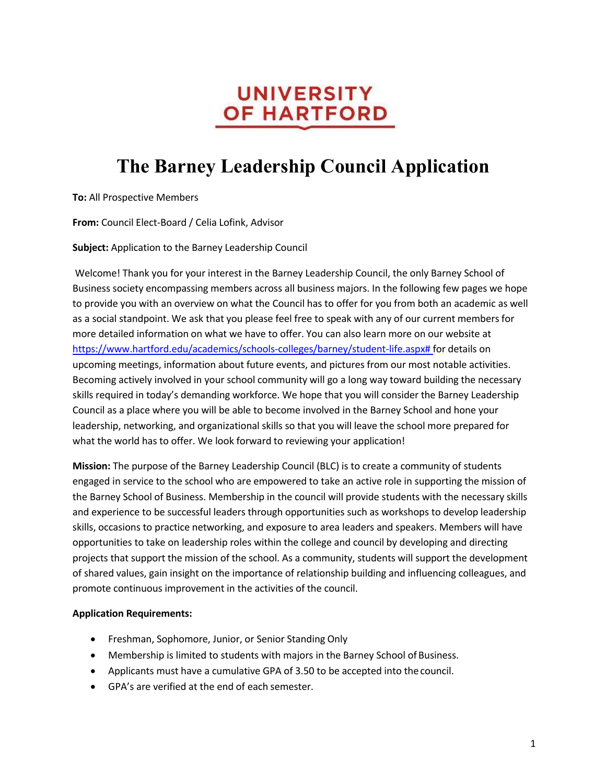## **UNIVERSITY OF HARTFORD**

# **The Barney Leadership Council Application**

**To:** All Prospective Members

**From:** Council Elect-Board / Celia Lofink, Advisor

**Subject:** Application to the Barney Leadership Council

Welcome! Thank you for your interest in the Barney Leadership Council, the only Barney School of Business society encompassing members across all business majors. In the following few pages we hope to provide you with an overview on what the Council has to offer for you from both an academic as well as a social standpoint. We ask that you please feel free to speak with any of our current members for more detailed information on what we have to offer. You can also learn more on our website at https://www.hartford.edu/academics/schools-colleges/barney/student-life.aspx# for details on upcoming meetings, information about future events, and pictures from our most notable activities. Becoming actively involved in your school community will go a long way toward building the necessary skills required in today's demanding workforce. We hope that you will consider the Barney Leadership Council as a place where you will be able to become involved in the Barney School and hone your leadership, networking, and organizational skills so that you will leave the school more prepared for what the world has to offer. We look forward to reviewing your application!

**Mission:** The purpose of the Barney Leadership Council (BLC) is to create a community of students engaged in service to the school who are empowered to take an active role in supporting the mission of the Barney School of Business. Membership in the council will provide students with the necessary skills and experience to be successful leaders through opportunities such as workshops to develop leadership skills, occasions to practice networking, and exposure to area leaders and speakers. Members will have opportunities to take on leadership roles within the college and council by developing and directing projects that support the mission of the school. As a community, students will support the development of shared values, gain insight on the importance of relationship building and influencing colleagues, and promote continuous improvement in the activities of the council.

#### **Application Requirements:**

- Freshman, Sophomore, Junior, or Senior Standing Only
- Membership is limited to students with majors in the Barney School of Business.
- Applicants must have a cumulative GPA of 3.50 to be accepted into the council.
- GPA's are verified at the end of each semester.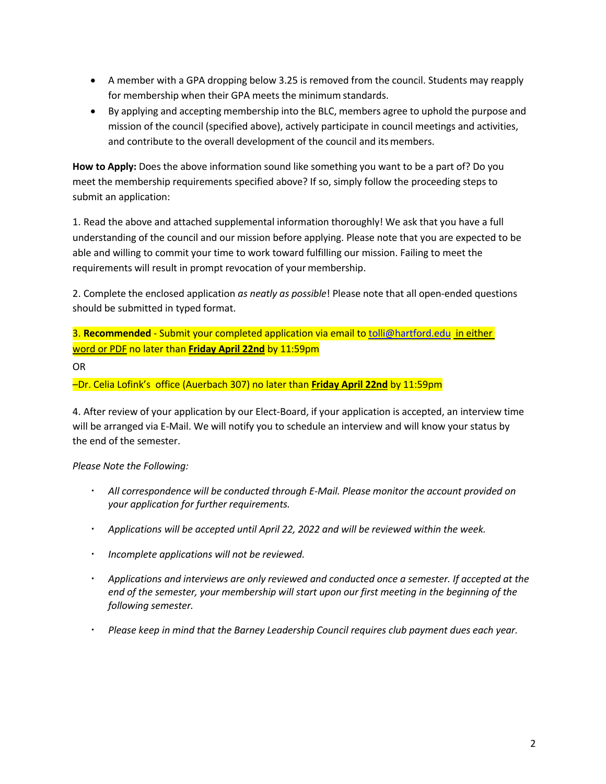- A member with a GPA dropping below 3.25 is removed from the council. Students may reapply for membership when their GPA meets the minimum standards.
- By applying and accepting membership into the BLC, members agree to uphold the purpose and mission of the council (specified above), actively participate in council meetings and activities, and contribute to the overall development of the council and its members.

**How to Apply:** Does the above information sound like something you want to be a part of? Do you meet the membership requirements specified above? If so, simply follow the proceeding steps to submit an application:

1. Read the above and attached supplemental information thoroughly! We ask that you have a full understanding of the council and our mission before applying. Please note that you are expected to be able and willing to commit your time to work toward fulfilling our mission. Failing to meet the requirements will result in prompt revocation of your membership.

2. Complete the enclosed application *as neatly as possible*! Please note that all open-ended questions should be submitted in typed format.

3. **Recommended** - Submit your completed application via email to tolli@hartford.edu in either word or PDF no later than **Friday April 22nd** by 11:59pm

OR

–Dr. Celia Lofink's office (Auerbach 307) no later than **Friday April 22nd** by 11:59pm

4. After review of your application by our Elect-Board, if your application is accepted, an interview time will be arranged via E-Mail. We will notify you to schedule an interview and will know your status by the end of the semester.

*Please Note the Following:*

- *All correspondence will be conducted through E-Mail. Please monitor the account provided on your application for further requirements.*
- *Applications will be accepted until April 22, 2022 and will be reviewed within the week.*
- *Incomplete applications will not be reviewed.*
- *Applications and interviews are only reviewed and conducted once a semester. If accepted at the end of the semester, your membership will start upon our first meeting in the beginning of the following semester.*
- *Please keep in mind that the Barney Leadership Council requires club payment dues each year.*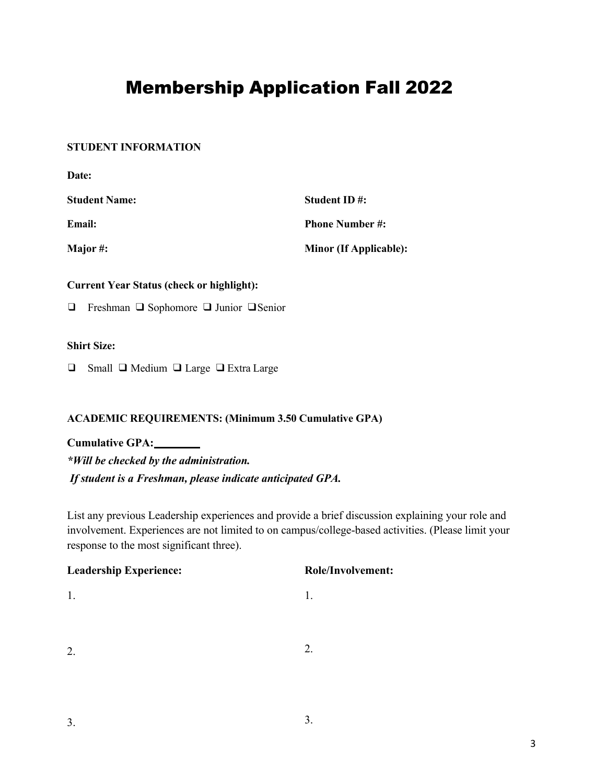## Membership Application Fall 2022

#### **STUDENT INFORMATION**

| Date:                |                               |
|----------------------|-------------------------------|
| <b>Student Name:</b> | Student ID#:                  |
| Email:               | <b>Phone Number #:</b>        |
| Major#:              | <b>Minor (If Applicable):</b> |

#### **Current Year Status (check or highlight):**

❑ Freshman ❑ Sophomore ❑ Junior ❑Senior

#### **Shirt Size:**

❑ Small ❑ Medium ❑ Large ❑Extra Large

#### **ACADEMIC REQUIREMENTS: (Minimum 3.50 Cumulative GPA)**

**Cumulative GPA:** *\*Will be checked by the administration. If student is a Freshman, please indicate anticipated GPA.*

List any previous Leadership experiences and provide a brief discussion explaining your role and involvement. Experiences are not limited to on campus/college-based activities. (Please limit your response to the most significant three).

| <b>Leadership Experience:</b> | <b>Role/Involvement:</b> |
|-------------------------------|--------------------------|
|                               |                          |
|                               |                          |
|                               |                          |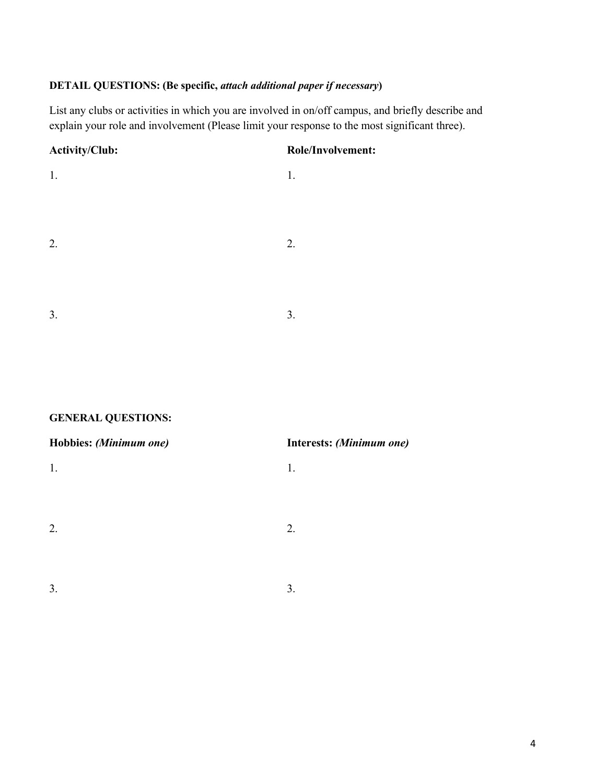### **DETAIL QUESTIONS: (Be specific,** *attach additional paper if necessary***)**

List any clubs or activities in which you are involved in on/off campus, and briefly describe and explain your role and involvement (Please limit your response to the most significant three).

| <b>Activity/Club:</b> | Role/Involvement: |
|-----------------------|-------------------|
| 1.                    | 1.                |
|                       |                   |
|                       |                   |
| 2.                    | 2.                |
|                       |                   |
|                       |                   |
| 3.                    | 3.                |
|                       |                   |

### **GENERAL QUESTIONS:**

| Hobbies: (Minimum one) | Interests: (Minimum one) |
|------------------------|--------------------------|
| 1.                     | 1.                       |
|                        |                          |
|                        |                          |
| 2.                     | 2.                       |
|                        |                          |
| 3.                     | 3.                       |